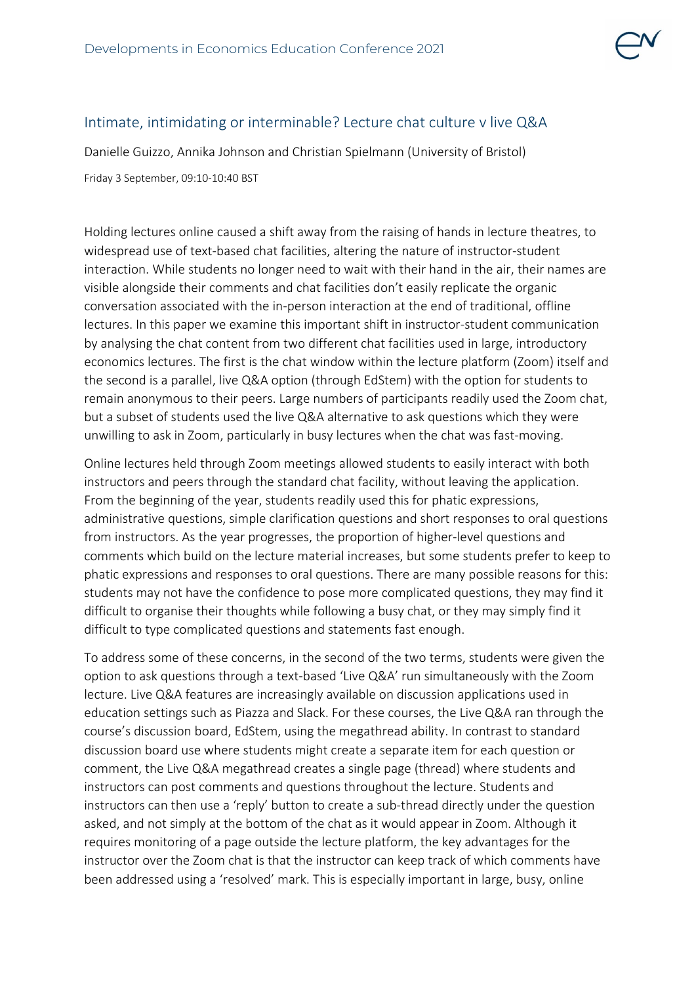

## Intimate, intimidating or interminable? Lecture chat culture v live Q&A

Danielle Guizzo, Annika Johnson and Christian Spielmann (University of Bristol) Friday 3 September, 09:10-10:40 BST

Holding lectures online caused a shift away from the raising of hands in lecture theatres, to widespread use of text-based chat facilities, altering the nature of instructor-student interaction. While students no longer need to wait with their hand in the air, their names are visible alongside their comments and chat facilities don't easily replicate the organic conversation associated with the in-person interaction at the end of traditional, offline lectures. In this paper we examine this important shift in instructor-student communication by analysing the chat content from two different chat facilities used in large, introductory economics lectures. The first is the chat window within the lecture platform (Zoom) itself and the second is a parallel, live Q&A option (through EdStem) with the option for students to remain anonymous to their peers. Large numbers of participants readily used the Zoom chat, but a subset of students used the live Q&A alternative to ask questions which they were unwilling to ask in Zoom, particularly in busy lectures when the chat was fast-moving.

Online lectures held through Zoom meetings allowed students to easily interact with both instructors and peers through the standard chat facility, without leaving the application. From the beginning of the year, students readily used this for phatic expressions, administrative questions, simple clarification questions and short responses to oral questions from instructors. As the year progresses, the proportion of higher-level questions and comments which build on the lecture material increases, but some students prefer to keep to phatic expressions and responses to oral questions. There are many possible reasons for this: students may not have the confidence to pose more complicated questions, they may find it difficult to organise their thoughts while following a busy chat, or they may simply find it difficult to type complicated questions and statements fast enough.

To address some of these concerns, in the second of the two terms, students were given the option to ask questions through a text-based 'Live Q&A' run simultaneously with the Zoom lecture. Live Q&A features are increasingly available on discussion applications used in education settings such as Piazza and Slack. For these courses, the Live Q&A ran through the course's discussion board, EdStem, using the megathread ability. In contrast to standard discussion board use where students might create a separate item for each question or comment, the Live Q&A megathread creates a single page (thread) where students and instructors can post comments and questions throughout the lecture. Students and instructors can then use a 'reply' button to create a sub-thread directly under the question asked, and not simply at the bottom of the chat as it would appear in Zoom. Although it requires monitoring of a page outside the lecture platform, the key advantages for the instructor over the Zoom chat is that the instructor can keep track of which comments have been addressed using a 'resolved' mark. This is especially important in large, busy, online